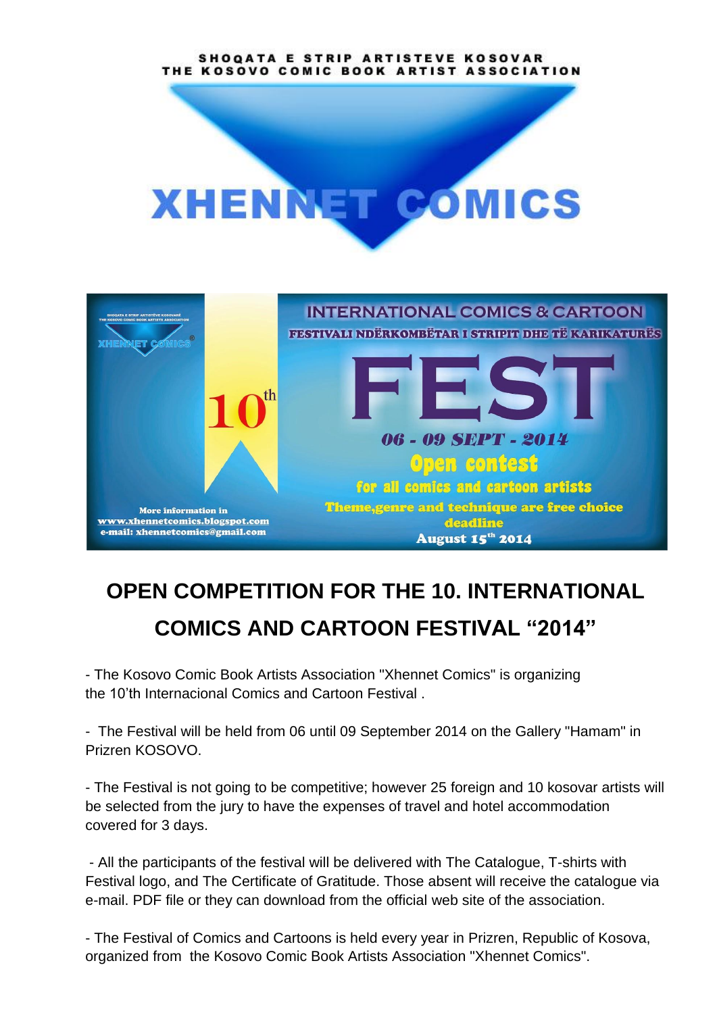SHOOATA E STRIP ARTISTEVE KOSOVAR THE KOSOVO COMIC BOOK ARTIST ASSOCIATION





## **OPEN COMPETITION FOR THE 10. INTERNATIONAL COMICS AND CARTOON FESTIVAL "2014"**

- The Kosovo Comic Book Artists Association "Xhennet Comics" is organizing the 10'th Internacional Comics and Cartoon Festival .

- The Festival will be held from 06 until 09 September 2014 on the Gallery "Hamam" in Prizren KOSOVO.

- The Festival is not going to be competitive; however 25 foreign and 10 kosovar artists will be selected from the jury to have the expenses of travel and hotel accommodation covered for 3 days.

- All the participants of the festival will be delivered with The Catalogue, T-shirts with Festival logo, and The Certificate of Gratitude. Those absent will receive the catalogue via e-mail. PDF file or they can download from the official web site of the association.

- The Festival of Comics and Cartoons is held every year in Prizren, Republic of Kosova, organized from the Kosovo Comic Book Artists Association "Xhennet Comics".